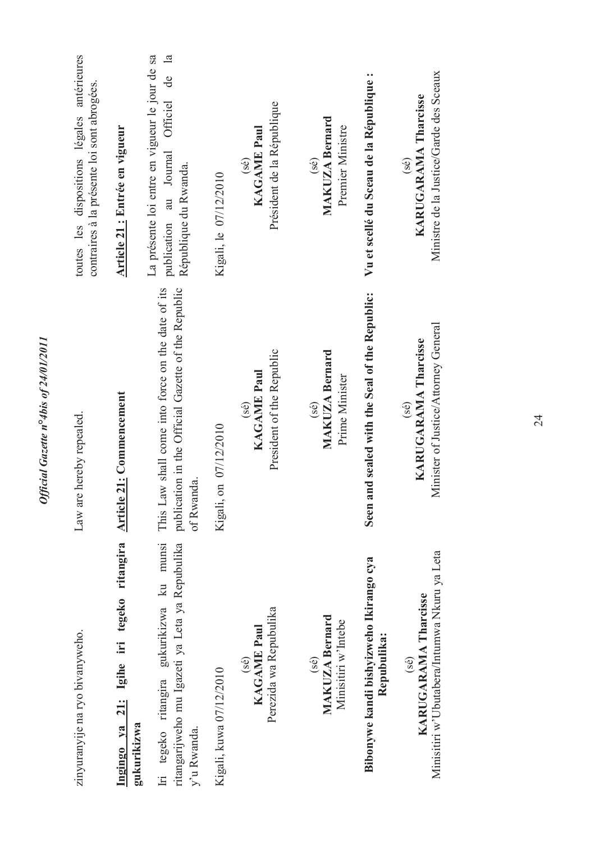| zinyuranyije na ryo bivanyweho.                                                                             | Law are hereby repealed.                                                                                               | toutes les dispositions légales antérieures<br>contraires à la présente loi sont abrogées.                                             |
|-------------------------------------------------------------------------------------------------------------|------------------------------------------------------------------------------------------------------------------------|----------------------------------------------------------------------------------------------------------------------------------------|
| Ingingo ya 21: Igihe iri tegeko ritangira Article 21: Commencement<br>gukurikizwa                           |                                                                                                                        | Article 21 : Entrée en vigueur                                                                                                         |
| Iri tegeko ritangira gukurikizwa ku munsi<br>ritangarijweho mu Igazeti ya Leta ya Repubulika<br>y'u Rwanda. | publication in the Official Gazette of the Republic<br>This Law shall come into force on the date of its<br>of Rwanda. | La présente loi entre en vigueur le jour de sa<br>$\mathbb{Z}$<br>de<br>Officiel<br>au Journal<br>République du Rwanda.<br>publication |
| Kigali, kuwa 07/12/2010                                                                                     | Kigali, on 07/12/2010                                                                                                  | Kigali, le 07/12/2010                                                                                                                  |
| Perezida wa Repubulika<br><b>KAGAME Paul</b><br>(sé)                                                        | President of the Republic<br>KAGAME Paul<br>(sé)                                                                       | Président de la République<br><b>KAGAME Paul</b><br>$($ sé $)$                                                                         |
| <b>MAKUZA Bernard</b><br>Minisitiri w'Intebe<br>$($ sé $)$                                                  | <b>MAKUZA Bernard</b><br>Prime Minister<br>$(\mathcal{S}\mathcal{E})$                                                  | <b>MAKUZA Bernard</b><br>Premier Ministre<br>(36)                                                                                      |
| Bibonywe kandi bishyizweho Ikirango cya<br>Repubulika:                                                      | Seen and sealed with the Seal of the Republic:                                                                         | Vu et scellé du Sceau de la République :                                                                                               |
| Minisitiri w'Ubutabera/Intumwa Nkuru ya Leta<br>KARUGARAMA Tharcisse<br>$($ sé $)$                          | Minister of Justice/Attorney General<br><b>KARUGARAMA Tharcisse</b><br>(se)                                            | Ministre de la Justice/Garde des Sceaux<br>KARUGARAMA Tharcisse<br>(36)                                                                |
|                                                                                                             |                                                                                                                        |                                                                                                                                        |

Official Gazette nº4bis of 24/01/2011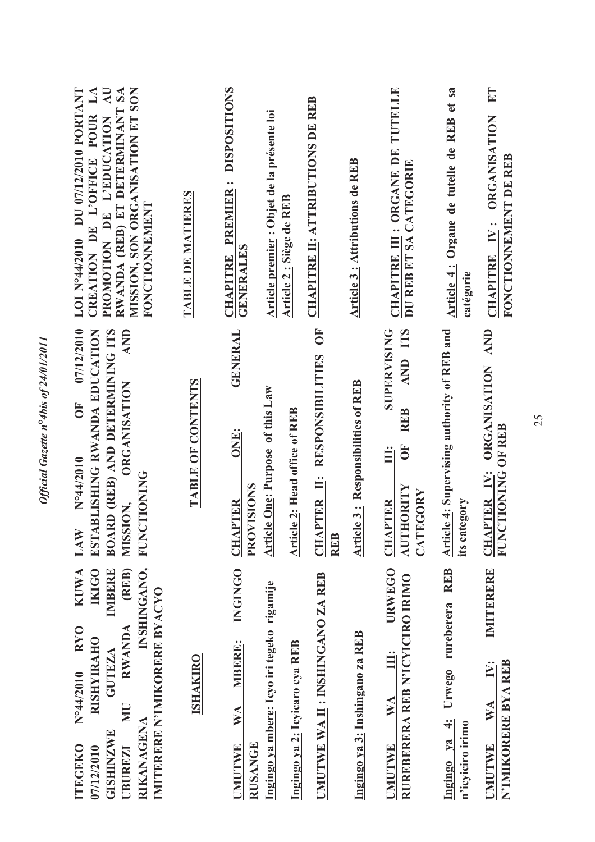| LOI N°44/2010 DU 07/12/2010 PORTANT<br>$\mathbf{M}$<br>$\overline{A}$ U<br>MISSION, SON ORGANISATION ET SON<br>RWANDA (REB) ET DETERMINANT SA<br>CREATION DE L'OFFICE POUR<br>PROMOTION DE L'EDUCATION<br>FONCTIONNEMENT                                                         | <u>TABLE DE MATIERES</u> | <b>DISPOSITIONS</b><br><b>CHAPITRE PREMIER:</b><br><b>GENERALES</b>      | Article premier : Objet de la présente loi | Article 2 : Siège de REB       | <b>CHAPITRE II: ATTRIBUTIONS DE REB</b>                        | <b>Article 3: Attributions de REB</b>     | CHAPITRE III : ORGANE DE TUTELLE<br>DU REB ET SA CATEGORIE                                                        | Article 4: Organe de tutelle de REB et sa<br>catégorie                  | E<br>CHAPITRE IV: ORGANISATION<br>FONCTIONNEMENT DE REB                                  |
|----------------------------------------------------------------------------------------------------------------------------------------------------------------------------------------------------------------------------------------------------------------------------------|--------------------------|--------------------------------------------------------------------------|--------------------------------------------|--------------------------------|----------------------------------------------------------------|-------------------------------------------|-------------------------------------------------------------------------------------------------------------------|-------------------------------------------------------------------------|------------------------------------------------------------------------------------------|
| 07/12/2010<br>ESTABLISHING RWANDA EDUCATION<br><b>AND</b><br>BOARD (REB) AND DETERMINING ITS<br><b>ORGANISATION</b><br>5H<br>N°44/2010<br><b>FUNCTIONING</b><br>MISSION,<br>LAW                                                                                                  | <b>TABLE OF CONTENTS</b> | <b>GENERAL</b><br>ONE:<br>PROVISIONS<br><b>CHAPTER</b>                   | <b>Article One: Purpose of this Law</b>    | Article 2: Head office of REB  | $\overline{O}$ F<br>CHAPTER II: RESPONSIBILITIES<br><b>REB</b> | <b>Article 3: Responsibilities of REB</b> | <b>SUPERVISING</b><br>AND ITS<br><b>REB</b><br>$\overline{0}$<br>Ë<br>AUTHORITY<br>EGORY<br><b>CHAPTER</b><br>CAT | <b>Article 4: Supervising authority of REB and</b><br>its category      | <b>AND</b><br><b>ORGANISATION</b><br><b>CTIONING OF REB</b><br><b>CHAPTER IV:</b><br>FUN |
| <b>IKIGO</b><br>INSHINGANO,<br><b>IMBERE</b><br>(REB)<br><b>KUWA</b><br>IMITERERE N'IMIKORERE BYACYO<br><b>RWANDA</b><br><b>RYO</b><br><b>RISHYIRAHO</b><br>GUTEZA<br>N°44/2010<br>ЛU<br><b>RIKANAGENA</b><br><b>GISHINZWE</b><br><b>ITEGEKO</b><br>07/12/2010<br><b>UBUREZI</b> | <b>ISHAKIRO</b>          | <b>INGINGO</b><br><b>MBERE:</b><br>WA<br><b>RUSANGE</b><br><b>JMUTWE</b> | Ingingo ya mbere: Icyo iri tegeko rigamije | Ingingo ya 2: Icyicaro cya REB | UMUTWE WA II : INSHINGANO ZA REB                               | Ingingo ya 3: Inshingano za REB           | <b>URWEGO</b><br>RUREBERERA REB N'ICYICIRO IRIMO<br>Ë<br>$\mathbf{W} \mathbf{A}$<br><b>UMUTWE</b>                 | <b>REB</b><br>rureberera<br>Urwego<br>Ingingo ya 4:<br>n'icyiciro irimo | IMITERERE<br>N'IMIKORERE BYA REB<br>IV:<br>WA<br><b>UMUTWE</b>                           |

Official Gazette nº4bis of 24/01/2011 *Official Gazette n***°***4bis of 24/01/2011*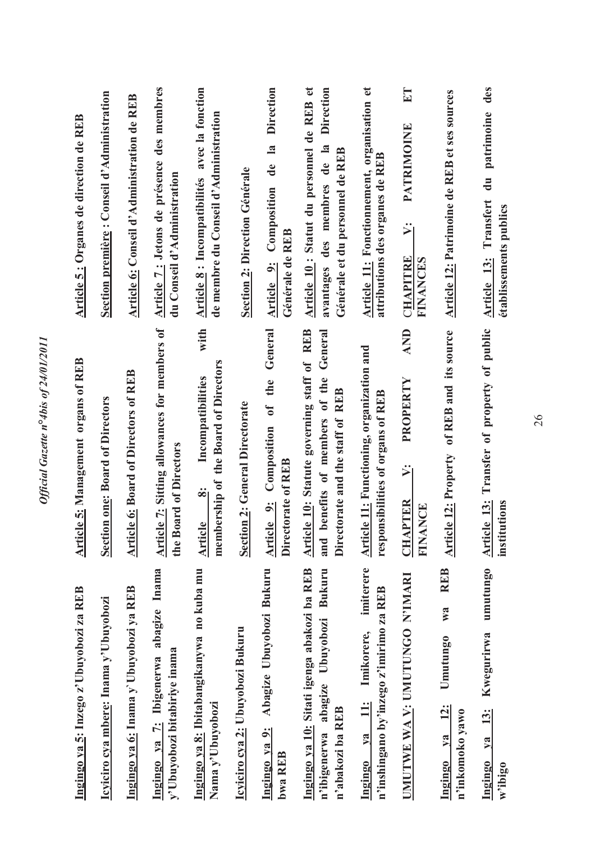| Ingingo ya 5: Inzego z'Ubuyobozi za REB                                                                           | <b>Article 5: Management organs of REB</b>                                                                                     | Article 5: Organes de direction de REB                                                                                           |
|-------------------------------------------------------------------------------------------------------------------|--------------------------------------------------------------------------------------------------------------------------------|----------------------------------------------------------------------------------------------------------------------------------|
| Icyiciro cya mbere: Inama y'Ubuyobozi                                                                             | <b>Section one: Board of Directors</b>                                                                                         | Section première : Conseil d'Administration                                                                                      |
| Ingingo ya 6: Inama y Ubuyobozi ya REB                                                                            | <b>Article 6: Board of Directors of REB</b>                                                                                    | Article 6: Conseil d'Administration de REB                                                                                       |
| Ingingo ya 7: Ibigenerwa abagize Inama<br>y'Ubuyobozi bitabiriye inama                                            | Article 7: Sitting allowances for members of<br>the Board of Directors                                                         | Article 7: Jetons de présence des membres<br>du Conseil d'Administration                                                         |
| Ingingo ya 8: Ibitabangikanywa no kuba mu<br>Nama y'Ubuyobozi                                                     | with<br>membership of the Board of Directors<br>Incompatibilities<br>$\ddot{\mathbf{z}}$<br>Article                            | Article 8 : Incompatibilités avec la fonction<br>de membre du Conseil d'Administration                                           |
| <u>Icyiciro cya 2:</u> Ubuyobozi Bukuru                                                                           | <b>Section 2: General Directorate</b>                                                                                          | <b>Section 2: Direction Générale</b>                                                                                             |
| Abagize Ubuyobozi Bukuru<br>Ingingo ya 9:<br>bwa REB                                                              | General<br>Article 9: Composition of the<br>Directorate of REB                                                                 | Article 9: Composition de la Direction<br>Générale de REB                                                                        |
| Ingingo ya 10: Sitati igenga abakozi ba REB<br>Bukuru<br>Ubuyobozi<br>abagize<br>n'abakozi ba REB<br>n'ibigenerwa | Article 10: Statute governing staff of REB<br>General<br>benefits of members of the<br>Directorate and the staff of REB<br>and | Article 10 : Statut du personnel de REB et<br><b>Direction</b><br>avantages des membres de la<br>Générale et du personnel de REB |
| imiterere<br>n'inshingano by'inzego z'imirimo za REB<br>Imikorere,<br>$\ddot{=}$<br>$1$<br>Ingingo                | <b>Article 11:</b> Functioning, organization and<br>responsibilities of organs of REB                                          | Article 11: Fonctionnement, organisation et<br>attributions des organes de REB                                                   |
| UMUTWE WA V: UMUTUNGO N'IMARI                                                                                     | AND<br>PROPERTY<br>ઞં<br><b>CHAPTER</b><br><b>FINANCE</b>                                                                      | $E$ <sup>T</sup><br>PATRIMOINE<br>ΣÏ<br>CHAPITRE<br><b>FINANCES</b>                                                              |
| <b>REB</b><br>W2<br>Umutungo<br><u>12:</u><br>n'inkomoko yawo<br>$1$<br>Ingingo                                   | Article 12: Property of REB and its source                                                                                     | <b>Article 12: Patrimoine de REB et ses sources</b>                                                                              |
| umutungo<br>Kwegurirwa<br>$\frac{13}{3}$<br>$\sqrt{a}$<br>Ingingo<br>w'ibigo                                      | Article 13: Transfer of property of public<br>institutions                                                                     | Article 13: Transfert du patrimoine des<br>établissements publics                                                                |

Official Gazette nº4bis of 24/01/2011 *Official Gazette n***°***4bis of 24/01/2011*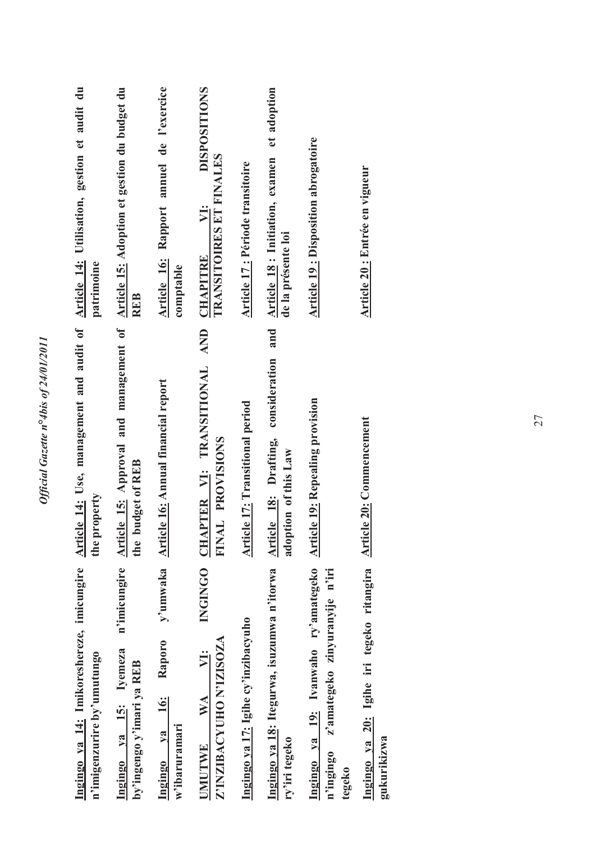| Ingingo ya 14: Imikoreshereze, imicungire<br>n'imigenzurire by'umutungo                                                       | Article 14: Use, management and audit of Article 14: Utilisation, gestion et audit du<br>the property              | patrimoine                                                               |
|-------------------------------------------------------------------------------------------------------------------------------|--------------------------------------------------------------------------------------------------------------------|--------------------------------------------------------------------------|
| n'imicungire<br>Ingingo ya 15: Iyemeza<br>by'ingengo y'imari ya REB                                                           | Article 15: Approval and management of Article 15: Adoption et gestion du budget du<br><b>budget of REB</b><br>the | <b>REB</b>                                                               |
| <b>Raporo</b><br><u>i6:</u><br>$v_{a}$<br>w'ibaruramari<br>Ingingo                                                            | y'umwaka Article 16: Annual financial report                                                                       | Article 16: Rapport annuel de l'exercice<br>comptable                    |
| <b>INGINGO</b><br>Z'INZIBACYUHO N'IZISOZA<br>WA<br><b>UMUTWE</b>                                                              | <b>AND</b><br>CHAPTER VI: TRANSITIONAL<br>FINAL PROVISIONS                                                         | <b>DISPOSITIONS</b><br>TRANSITOIRES ET FINALES<br>VI:<br><b>CHAPITRE</b> |
| Ingingo ya 17: Igihe cy'inzibacyuho                                                                                           | <b>Article 17: Transitional period</b>                                                                             | Article 17 : Période transitoire                                         |
| Ingingo ya 18: Itegurwa, isuzumwa n'itorwa<br>ry'iri tegeko                                                                   | and<br>consideration<br>Article 18: Drafting,<br>adoption of this Law                                              | et adoption<br>Article 18 : Initiation, examen<br>de la présente loi     |
| Ingingo ya 19: Ivanwaho ry'amategeko Article 19: Repealing provision<br>z'amategeko zinyuranyije n'iri<br>n'ingingo<br>tegeko |                                                                                                                    | <b>Article 19: Disposition abrogatoire</b>                               |
| Ingingo ya 20: Igihe iri tegeko ritangira<br>gukurikizwa                                                                      | <b>Article 20: Commencement</b>                                                                                    | Article 20 : Entrée en vigueur                                           |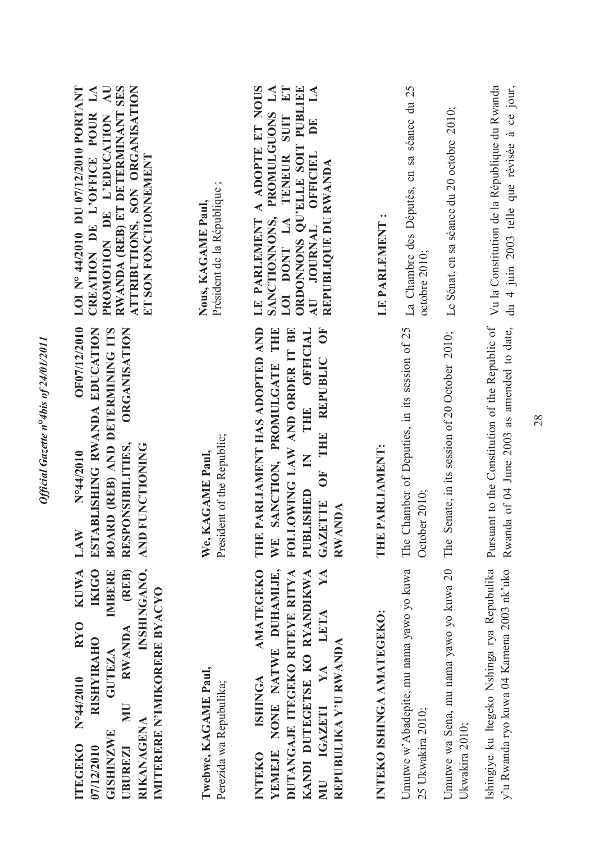| RWANDA (REB) ET DETERMINANT SES<br>ATTRIBUTIONS, SON ORGANISATION<br>$\overline{A}$ U<br>LOI N° 44/2010 DU 07/12/2010 PORTANT<br>$L\mathbf{A}$<br>CREATION DE L'OFFICE POUR<br>PROMOTION DE L'EDUCATION<br>ET SON FONCTIONNEMENT                            | Président de la République;<br>Nous, KAGAME Paul, | A ADOPTE ET NOUS<br>$E\mathbf{T}$<br>ORDONNONS QU'ELLE SOIT PUBLIEE<br>$\mathbf{\Sigma}$<br>$\mathbf{L}\mathbf{A}$<br>PROMULGUONS<br>TENEUR SUIT<br>DE<br>AU JOURNAL OFFICIEL<br>REPUBLIQUE DU RWANDA<br>LE PARLEMENT<br>SANCTIONNONS,<br>LOI DONT LA | LE PARLEMENT :            | La Chambre des Députés, en sa séance du 25<br>octobre 2010;    | Le Sénat, en sa séance du 20 octobre 2010;                | du 4 juin 2003 telle que révisée à ce jour,<br>Vu la Constitution de la République du Rwanda  |
|-------------------------------------------------------------------------------------------------------------------------------------------------------------------------------------------------------------------------------------------------------------|---------------------------------------------------|-------------------------------------------------------------------------------------------------------------------------------------------------------------------------------------------------------------------------------------------------------|---------------------------|----------------------------------------------------------------|-----------------------------------------------------------|-----------------------------------------------------------------------------------------------|
| OF07/12/2010<br>ORGANISATION<br>ESTABLISHING RWANDA EDUCATION<br>BOARD (REB) AND DETERMINING ITS<br>RESPONSIBILITIES,<br><b>FUNCTIONING</b><br>N°44/2010<br>LAW<br><b>AND</b>                                                                               | President of the Republic;<br>We, KAGAME Paul,    | PARLIAMENT HAS ADOPTED AND<br>THE OFFICIAL<br>OF THE REPUBLIC OF<br>FOLLOWING LAW AND ORDER IT BE<br>SANCTION, PROMULGATE THE<br>$\mathsf{K}$<br><b>PUBLISHED</b><br><b>GAZETTE</b><br><b>RWANDA</b><br>THE<br>WE                                     | PARLIAMENT:<br>THE.       | The Chamber of Deputies, in its session of 25<br>October 2010; | The Senate, in its session of 20 October 2010;            | Pursuant to the Constitution of the Republic of<br>Rwanda of 04 June 2003 as amended to date, |
| (REB)<br>INSHINGANO,<br><b>KUWA</b><br><b>IKIGO</b><br>IMBERE<br><b>IMITERERE N'IMIKORERE BYACYO</b><br><b>RYO</b><br>RWANDA<br><b>RISHYIRAHO</b><br>GUTEZA<br>N°44/2010<br><b>UN</b><br>RIKANAGENA<br>GISHINZWE<br><b>ITEGEKO</b><br>07/12/2010<br>UBUREZI | Twebwe, KAGAME Paul,<br>Perezida wa Repubulika;   | <b>AMATEGEKO</b><br>NONE NATWE DUHAMIJE,<br>KANDI DUTEGETSE KO RYANDIKWA<br>YA<br>DUTANGAJE ITEGEKO RITEYE RITYA<br>LETA<br>REPUBULIKA Y'U RWANDA<br>$Y\!A$<br><b>ISHINGA</b><br><b>IGAZETI</b><br>YEMEJE<br><b>INTEKO</b><br>NU                      | INTEKO ISHINGA AMATEGEKO: | Umutwe w'Abadepite, mu nama yawo yo kuwa<br>25 Ukwakira 2010;  | Umutwe wa Sena, mu nama yawo yo kuwa 20<br>Ukwakira 2010; | Ishingiye ku Itegeko Nshinga rya Repubulika<br>y'u Rwanda ryo kuwa 04 Kamena 2003 nk'uko      |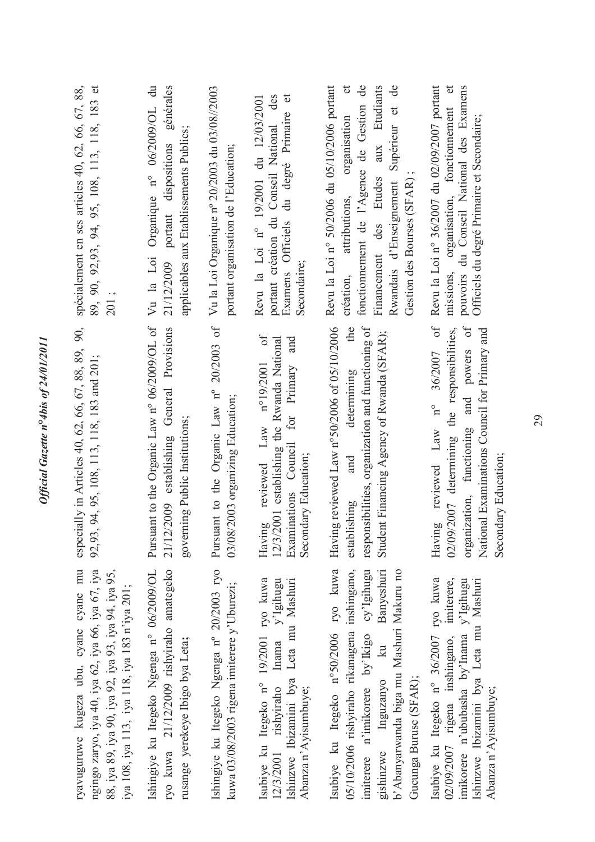| ryavuguruwe kugeza ubu, cyane cyane mu<br>ngingo zaryo, iya 40, iya 62, iya 66, iya 67, iya                                                                                                                                                          | especially in Articles 40, 62, 66, 67, 88, 89, 90,<br>92,93, 94, 95, 108, 113, 118, 183 and 201;                                                                                                                          | 89, 90, 92, 93, 94, 95, 108, 113, 118, 183 et<br>spécialement en ses articles 40, 62, 66, 67, 88,                                                                                                                                                                   |
|------------------------------------------------------------------------------------------------------------------------------------------------------------------------------------------------------------------------------------------------------|---------------------------------------------------------------------------------------------------------------------------------------------------------------------------------------------------------------------------|---------------------------------------------------------------------------------------------------------------------------------------------------------------------------------------------------------------------------------------------------------------------|
| 88, iya 89, iya 90, iya 92, iya 93, iya 94, iya 95,<br>iya 108, iya 113, iya 118, iya 183 n'iya 201;                                                                                                                                                 |                                                                                                                                                                                                                           | 201;                                                                                                                                                                                                                                                                |
| ryo kuwa 21/12/2009 rishyiraho amategeko<br>Ishingiye ku Itegeko Ngenga n° 06/2009/OL<br>rusange yerekeye Ibigo bya Leta;                                                                                                                            | Pursuant to the Organic Law n° 06/2009/OL of<br>21/12/2009 establishing General Provisions<br>governing Public Institutions;                                                                                              | Vu la Loi Organique nº 06/2009/OL du<br>portant dispositions générales<br>applicables aux Etablissements Publics;<br>21/12/2009                                                                                                                                     |
| Ishingiye ku Itegeko Ngenga nº 20/2003 ryo<br>kuwa 03/08/2003 rigena imiterere y'Uburezi;                                                                                                                                                            | Pursuant to the Organic Law nº 20/2003 of Vu la Loi Organique nº 20/2003 du 03/08//2003<br>03/08/2003 organizing Education;                                                                                               | portant organisation de l'Education;                                                                                                                                                                                                                                |
| Isubiye ku Itegeko n° 19/2001 ryo kuwa<br>$\lim_{y \to 0}$ $\lim_{y \to 0}$<br>Leta mu Mashuri<br>Ishinzwe Ibizamini bya<br>12/3/2001 rishyiraho<br>Abanza n'Ayisumbuye;                                                                             | of<br>and<br>12/3/2001 establishing the Rwanda National<br>n°19/2001<br>Examinations Council for Primary<br>reviewed Law<br>Secondary Education;<br>Having                                                                | portant création du Conseil National des<br>Examens Officiels du degré Primaire et<br>Revu la Loi nº 19/2001 du 12/03/2001<br>Secondaire;                                                                                                                           |
| Isubiye ku Itegeko n°50/2006 ryo kuwa<br>n'imikorere by'Ikigo cy'Igihugu<br>05/10/2006 rishyiraho rikanagena inshingano,<br>Banyeshuri<br>b'Abanyarwanda biga mu Mashuri Makuru no<br>$\overline{\mathbf{z}}$<br>Gucunga Buruse (SFAR);<br>Inguzanyo | responsibilities, organization and functioning of<br>Having reviewed Law n°50/2006 of 05/10/2006<br>the<br>Student Financing Agency of Rwanda (SFAR);<br>determining<br>and<br>establishing                               | Revu la Loi nº 50/2006 du 05/10/2006 portant<br>$\sigma$<br>fonctionnement de l'Agence de Gestion de<br>Financement des Etudes aux Etudiants<br>Supérieur et de<br>organisation<br>Gestion des Bourses (SFAR)<br>création, attributions,<br>Rwandais d'Enseignement |
| Isubiye ku Itegeko nº 36/2007 ryo kuwa<br>imikorere n'ububasha by'Inama y'Igihugu<br>imiterere,<br>Ishinzwe Ibizamini bya Leta mu Mashuri<br>02/09/2007 rigena inshingano,<br>Abanza n'Ayisumbuye;                                                   | $0f$<br>organization, functioning and powers of<br>02/09/2007 determining the responsibilities,<br>National Examinations Council for Primary and<br>36/2007<br>$n^{\circ}$<br>Having reviewed Law<br>Secondary Education; | Revu la Loi nº 36/2007 du 02/09/2007 portant<br>missions, organisation, fonctionnement et<br>pouvoirs du Conseil National des Examens<br>Officiels du degré Primaire et Secondaire;                                                                                 |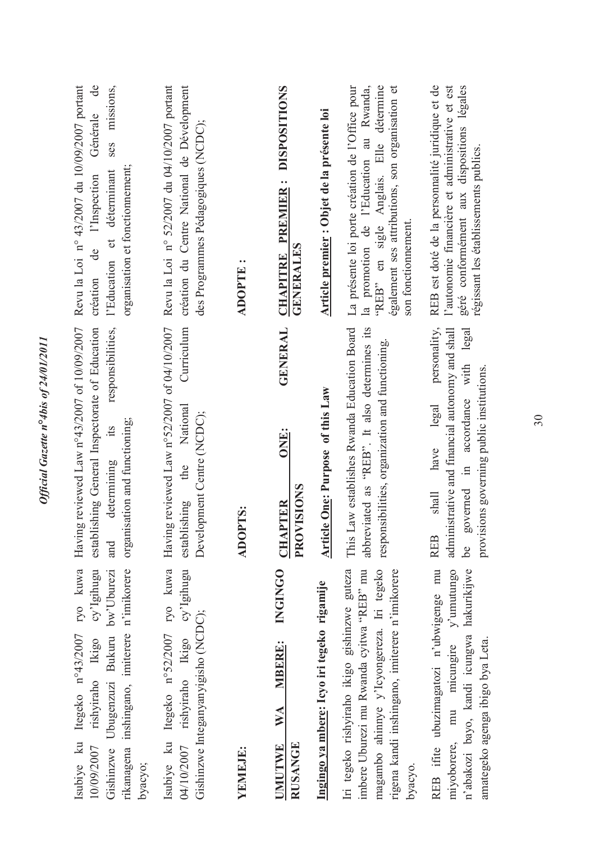| également ses attributions, son organisation et<br>rigena kandi inshingano, imiterere n'imikorere                                                                                                                                                                                                       | Revu la Loi nº 43/2007 du 10/09/2007 portant<br>$\mathrm{d}\mathrm{e}$<br>ses missions,<br>Article premier : Objet de la présente loi<br>Générale<br>des Programmes Pédagogiques (NCDC);<br>organisation et fonctionnement;<br>l'Education et déterminant<br>de l'Inspection<br><b>CHAPITRE PREMIER:</b><br><b>GENERALES</b><br>$\ddot{\phantom{0}}$<br><b>ADOPTE</b><br>création | Having reviewed Law n°43/2007 of 10/09/2007<br>establishing General Inspectorate of Education<br>responsibilities,<br>Article One: Purpose of this Law<br>National<br>Development Centre (NCDC);<br>organisation and functioning;<br>its<br>ONE:<br>determining<br>the<br>PROVISIONS<br>establishing<br><b>CHAPTER</b><br><b>ADOPTS:</b><br>and | Isubiye ku Itegeko n°52/2007 ryo kuwa<br>cy'Igihugu<br>Isubiye ku Itegeko n°43/2007 ryo kuwa<br>rikanagena inshingano, imiterere n'imikorere<br>cy'Igihugu<br><b>NGINGO</b><br>Iri tegeko rishyiraho ikigo gishinzwe guteza<br>imbere Uburezi mu Rwanda cyitwa "REB" mu<br>Ubugenzuzi Bukuru bw'Uburezi<br>Ingingo ya mbere: Icyo iri tegeko rigamije<br>Gishinzwe Integanyanyigisho (NCDC);<br>rishyiraho Ikigo<br>rishyiraho Ikigo<br><b>MBERE:</b><br><b>WA</b><br><b>RUSANGE</b><br><b>UMUTWE</b><br>04/10/2007<br>10/09/2007<br>YEMEJE:<br>Gishinzwe<br>byacyo; |
|---------------------------------------------------------------------------------------------------------------------------------------------------------------------------------------------------------------------------------------------------------------------------------------------------------|-----------------------------------------------------------------------------------------------------------------------------------------------------------------------------------------------------------------------------------------------------------------------------------------------------------------------------------------------------------------------------------|-------------------------------------------------------------------------------------------------------------------------------------------------------------------------------------------------------------------------------------------------------------------------------------------------------------------------------------------------|----------------------------------------------------------------------------------------------------------------------------------------------------------------------------------------------------------------------------------------------------------------------------------------------------------------------------------------------------------------------------------------------------------------------------------------------------------------------------------------------------------------------------------------------------------------------|
| responsibilities, organization and functioning.<br>magambo ahinnye y'lcyongereza. Iri tegeko                                                                                                                                                                                                            |                                                                                                                                                                                                                                                                                                                                                                                   |                                                                                                                                                                                                                                                                                                                                                 |                                                                                                                                                                                                                                                                                                                                                                                                                                                                                                                                                                      |
| This Law establishes Rwanda Education Board<br>abbreviated as "REB". It also determines its                                                                                                                                                                                                             |                                                                                                                                                                                                                                                                                                                                                                                   |                                                                                                                                                                                                                                                                                                                                                 |                                                                                                                                                                                                                                                                                                                                                                                                                                                                                                                                                                      |
|                                                                                                                                                                                                                                                                                                         |                                                                                                                                                                                                                                                                                                                                                                                   |                                                                                                                                                                                                                                                                                                                                                 |                                                                                                                                                                                                                                                                                                                                                                                                                                                                                                                                                                      |
| <b>GENERAL</b>                                                                                                                                                                                                                                                                                          |                                                                                                                                                                                                                                                                                                                                                                                   |                                                                                                                                                                                                                                                                                                                                                 |                                                                                                                                                                                                                                                                                                                                                                                                                                                                                                                                                                      |
|                                                                                                                                                                                                                                                                                                         |                                                                                                                                                                                                                                                                                                                                                                                   |                                                                                                                                                                                                                                                                                                                                                 |                                                                                                                                                                                                                                                                                                                                                                                                                                                                                                                                                                      |
| Curriculum                                                                                                                                                                                                                                                                                              |                                                                                                                                                                                                                                                                                                                                                                                   |                                                                                                                                                                                                                                                                                                                                                 |                                                                                                                                                                                                                                                                                                                                                                                                                                                                                                                                                                      |
| Revu la Loi nº 52/2007 du 04/10/2007 portant<br>création du Centre National de Dévelopment<br>"REB" en sigle Anglais. Elle détermine<br><b>DISPOSITIONS</b><br>La présente loi porte création de l'Office pour<br>la promotion de l'Education au Rwanda,<br>Having reviewed Law n°52/2007 of 04/10/2007 |                                                                                                                                                                                                                                                                                                                                                                                   |                                                                                                                                                                                                                                                                                                                                                 |                                                                                                                                                                                                                                                                                                                                                                                                                                                                                                                                                                      |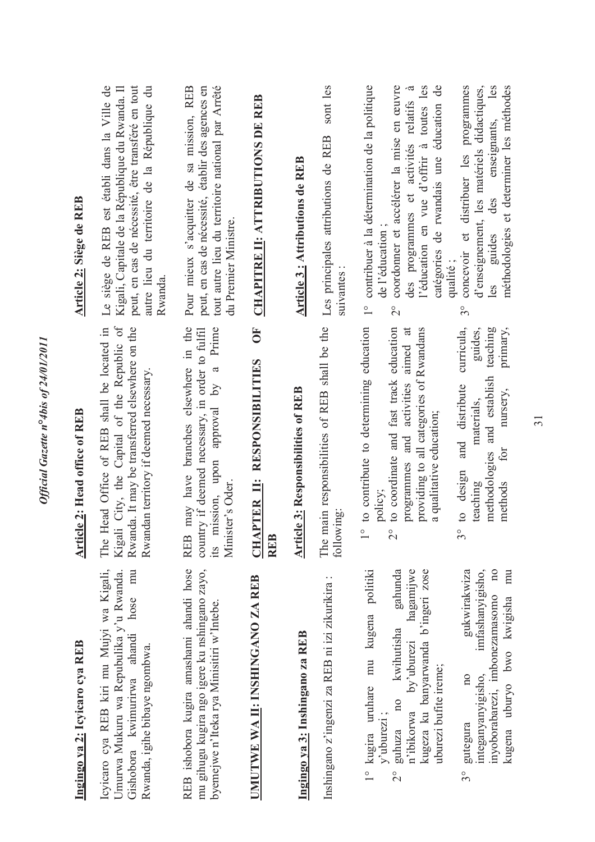| Ingingo ya 2: Icyicaro cya REB                                                                                                                                                                                                  | <b>Article 2: Head office of REB</b>                                                                                                                                                                                                                        | Article 2: Siège de REB                                                                                                                                                                                                                                                                                     |
|---------------------------------------------------------------------------------------------------------------------------------------------------------------------------------------------------------------------------------|-------------------------------------------------------------------------------------------------------------------------------------------------------------------------------------------------------------------------------------------------------------|-------------------------------------------------------------------------------------------------------------------------------------------------------------------------------------------------------------------------------------------------------------------------------------------------------------|
| Icyicaro cya REB kiri mu Mujyi wa Kigali,<br>mu<br>Umurwa Mukuru wa Repubulika y'u Rwanda.<br>hose<br>ahandi<br>Rwanda, igihe bibaye ngombwa.<br>Gishobora kwimurirwa                                                           | City, the Capital of the Republic of<br>The Head Office of REB shall be located in<br>Rwanda. It may be transferred elsewhere on the<br>Rwandan territory if deemed necessary.<br>Kigali                                                                    | Le siège de REB est établi dans la Ville de<br>peut, en cas de nécessité, être transféré en tout<br>autre lieu du territoire de la République du<br>Kigali, Capitale de la République du Rwanda. Il<br>Rwanda                                                                                               |
| REB ishobora kugira amashami ahandi hose<br>mu gihugu kugira ngo igere ku nshingano zayo,<br>byemejwe n'Iteka rya Minisitiri w'Intebe.                                                                                          | may have branches elsewhere in the<br>its mission, upon approval by a Prime<br>country if deemed necessary, in order to fulfil<br>Minister's Oder.<br><b>REB</b>                                                                                            | Pour mieux s'acquitter de sa mission, REB<br>peut, en cas de nécessité, établir des agences en<br>tout autre lieu du territoire national par Arrêté<br>du Premier Ministre.                                                                                                                                 |
| UMUTWE WA II: INSHINGANO ZA REB                                                                                                                                                                                                 | $\overline{\mathbf{C}}$<br>PTER II: RESPONSIBILITIES<br>CHAI<br><b>REB</b>                                                                                                                                                                                  | <b>CHAPITRE II: ATTRIBUTIONS DE REB</b>                                                                                                                                                                                                                                                                     |
| Ingingo ya 3: Inshingano za REB                                                                                                                                                                                                 | e 3: Responsibilities of REB<br><b>Article</b>                                                                                                                                                                                                              | Article 3 : Attributions de REB                                                                                                                                                                                                                                                                             |
| Inshingano z'ingenzi za REB ni izi zikurikira:                                                                                                                                                                                  | The main responsibilities of REB shall be the<br>following                                                                                                                                                                                                  | sont les<br>Les principales attributions de REB<br>suivantes                                                                                                                                                                                                                                                |
| politiki<br>gahunda<br>hagamijwe<br>kugeza ku banyarwanda b'ingeri zose<br>mu kugena<br>kwihutisha<br>by'uburezi<br>uburezi bufite ireme;<br>1° kugira uruhare<br>100<br>n'ibikorwa<br>$y'$ uburezi;<br>guhuza<br>$\frac{1}{2}$ | to contribute to determining education<br>to coordinate and fast track education<br>programmes and activities aimed at<br>providing to all categories of Rwandans<br>a qualitative education;<br>policy;<br>$\frac{1}{\sqrt{2}}$<br>$\overset{\circ}{\sim}$ | contribuer à la détermination de la politique<br>coordonner et accélérer la mise en œuvre<br>l'éducation en vue d'offrir à toutes les<br>$\tilde{\sigma}$<br>catégories de rwandais une éducation de<br>des programmes et activités relatifs<br>de l'éducation;<br>$\frac{1}{1}$<br>$\overset{\circ}{\sim}$ |
| gukwirakwiza<br>imfashanyigisho,<br>$\overline{u}$<br>mu<br>inyoborabarezi, imbonezamasomo<br>kugena uburyo bwo kwigisha<br>integanyanyigisho,<br>$\overline{\mathrm{a}}$<br>gutegura<br>30                                     | teaching<br>curricula,<br>guides,<br>primary,<br>methodologies and establish<br>and distribute<br>nursery,<br>materials,<br>for<br>to design<br>teaching<br>methods<br>$3^{\circ}$                                                                          | concevoir et distribuer les programmes<br>d'enseignement, les matériels didactiques,<br>méthodologies et determiner les méthodes<br>enseignants,<br>des<br>guides<br>qualité;<br>les<br>$\mathfrak{S}^{\circ}$                                                                                              |

Official Gazette n°4bis of 24/01/2011 *Official Gazette n***°***4bis of 24/01/2011*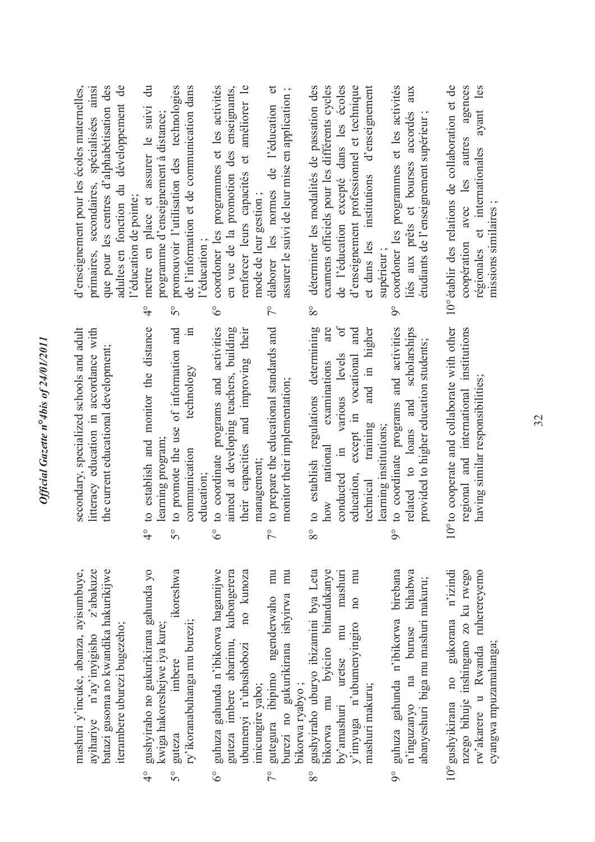|                       | secondary, specialized schools and adult<br>litteracy education in accordance with<br>the current educational development;                                | adultes en fonction du développement de<br>primaires, secondaires, spécialisées ainsi<br>d'enseignement pour les écoles maternelles,<br>que pour les centres d'alphabétisation des<br>l'éducation de pointe; |
|-----------------------|-----------------------------------------------------------------------------------------------------------------------------------------------------------|--------------------------------------------------------------------------------------------------------------------------------------------------------------------------------------------------------------|
| $\frac{1}{4}$         | to establish and monitor the distance                                                                                                                     | $\ddot{a}$<br>mettre en place et assurer le suivi<br>$\frac{1}{4}$                                                                                                                                           |
| $\mathcal{S}^{\circ}$ | to promote the use of information and<br>$\Xi$<br>technology<br>learning program<br>communication                                                         | de l'information et de communication dans<br>promouvoir l'utilisation des technologies<br>programme d'enseignement à distance<br>$\mathcal{S}^{\circ}$                                                       |
| ိ                     | to coordinate programs and activities<br>education;                                                                                                       | coordoner les programmes et les activités<br>l'éducation;<br>$\delta^{\circ}$                                                                                                                                |
|                       | their capacities and improving their<br>aimed at developing teachers, building                                                                            | renforcer leurs capacités et améliorer le<br>en vue de la promotion des enseignants,                                                                                                                         |
| $\tilde{7}^{\circ}$   | to prepare the educational standards and<br>monitor their implementation;<br>management;                                                                  | $\sigma$<br>assurer le suivi de leur mise en application ;<br>élaborer les normes de l'éducation<br>mode de leur gestion;<br>$\sqrt{2}$                                                                      |
| $8^{\circ}$           | $\overline{\mathrm{of}}$<br>to establish regulations determining<br>are<br>various levels<br>examinations<br>national<br>$\mathbb{H}$<br>conducted<br>how | de l'éducation excepté dans les écoles<br>déterminer les modalités de passation des<br>examens officiels pour les différents cycles<br>$8^{\circ}$                                                           |
|                       | and<br>and in higher<br>except in vocational<br>training<br>education,<br>technical                                                                       | et dans les institutions d'enseignement<br>d'enseignement professionnel et technique                                                                                                                         |
| $\infty$              | to coordinate programs and activities<br>related to loans and scholarships<br>learning institutions;                                                      | coordoner les programmes et les activités<br>aux<br>liés aux prêts et bourses accordés<br>supérieur;<br>$\delta$                                                                                             |
|                       | provided to higher education students;                                                                                                                    | étudiants de l'enseignement supérieur                                                                                                                                                                        |
|                       | 10° to cooperate and collaborate with other<br>regional and international institutions<br>having similar responsibilities;                                | 10° établir des relations de collaboration et de<br>agences<br>ayant les<br>autres<br>régionales et internationales<br>avec les<br>coopération                                                               |
|                       |                                                                                                                                                           | missions similaires;                                                                                                                                                                                         |

mashuri y'incuke, abanza, ayisumbuye, z'abakuze ayihariye n'ay'inyigisho z'abakuze batazi gusoma no kwandika hakurikijwe batazi gusoma no kwandika hakurikijwe mashuri y'incuke, abanza, ayisumbuye, iterambere uburezi bugezeho; terambere uburezi bugezeho; ayihariye n'ay'inyigisho

- gushyiraho no gukurikirana gahunda yo 4° gushyiraho no gukurikirana gahunda yo kwiga hakoreshejwe iya kure; kwiga hakoreshejwe iya kure;  $rac{6}{4}$ 
	- 5° guteza imbere ikoreshwa ikoreshwa ry'ikoranabuhanga mu burezi; ry'ikoranabuhanga mu burezi; imbere guteza °5

- 6° guhuza gahunda n'ibikorwa hagamijwe guteza imbere abarimu, kubongerera ubumenyi n'ubushobozi no kunoza guhuza gahunda n'ibikorwa hagamijwe guteza imbere abarimu, kubongerera no kunoza ubumenyi n'ubushobozi imicungire yabo; imicungire yabo;  $6^\circ$ 
	- 7° gutegura ibipimo ngenderwaho mu burezi no gukurikirana ishyirwa mu gutegura ibipimo ngenderwaho mu burezi no gukurikirana ishyirwa mu bikorwa ryabyo; bikorwa ryabyo ;  $\frac{1}{2}$
- 8° gushyiraho uburyo ibizamini bya Leta bikorwa mu byiciro bitandukanye by'amashuri uretse mu mashuri y'imyuga n'ubumenyingiro no mu gushyiraho uburyo ibizamini bya Leta bikorwa mu byiciro bitandukanye mashuri no mu  $y^{\dagger}$ imyuga n'ubumenyingiro mu uretse mashuri makuru; nashuri makuru; by'amashuri  $8^{\circ}$

- 9° guhuza gahunda n'ibikorwa birebana n'inguzanyo na buruse bihabwa 9° guhuza gahunda n'ibikorwa birebana bihabwa abanyeshuri biga mu mashuri makuru; abanyeshuri biga mu mashuri makuru; buruse  $na$ n'inguzanyo
- 10°gushyikirana no gukorana n'izindi nzego bihuje inshingano zo ku rwego rw'akarere u Rwanda ruherereyemo 10° gushyikirana no gukorana n'izindi nzego bihuje inshingano zo ku rwego rw'akarere u Rwanda ruherereyemo cyangwa mpuzamahanga; cyangwa mpuzamahanga;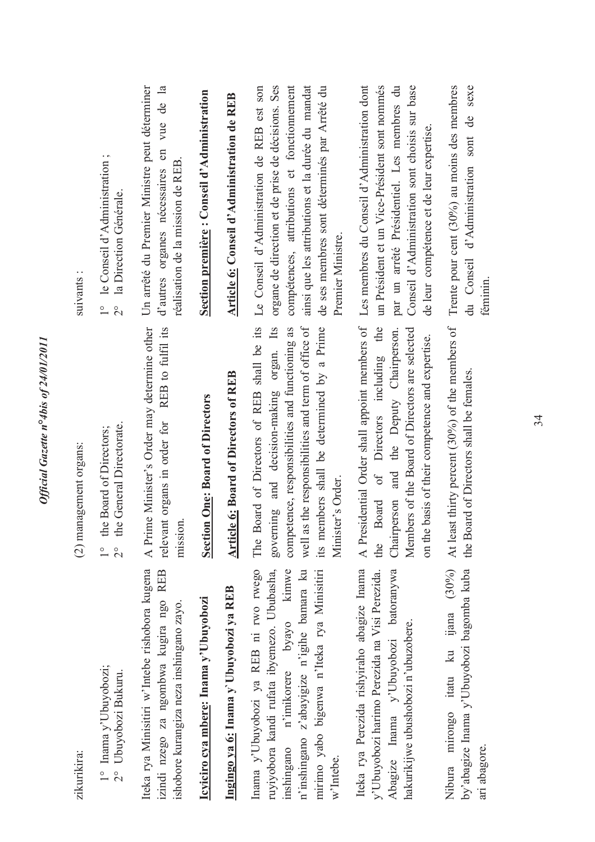| zikurikira:                                                                                                                                                                                                                            | (2) management organs:                                                                                                                                                                                                                                                | suivants:                                                                                                                                                                                                                                                               |
|----------------------------------------------------------------------------------------------------------------------------------------------------------------------------------------------------------------------------------------|-----------------------------------------------------------------------------------------------------------------------------------------------------------------------------------------------------------------------------------------------------------------------|-------------------------------------------------------------------------------------------------------------------------------------------------------------------------------------------------------------------------------------------------------------------------|
| $1^\circ \begin{array}{l} \text{Inama } y^\circ \text{Ubuyobozi;}\\ 2^\circ \end{array}$                                                                                                                                               | the Board of Directors;<br>the General Directorate.<br>$\frac{1}{2}$<br>$\frac{0}{1}$                                                                                                                                                                                 | le Conseil d'Administration;<br>la Direction Générale.<br>$\overline{c}$<br>$\overline{\phantom{a}}$                                                                                                                                                                    |
| Iteka rya Minisitiri w'Intebe rishobora kugena<br>izindi nzego za ngombwa kugira ngo REB<br>ishobore kurangiza neza inshingano zayo.                                                                                                   | A Prime Minister's Order may determine other<br>REB to fulfil its<br>relevant organs in order for<br>mission                                                                                                                                                          | Un arrêté du Premier Ministre peut déterminer<br>d'autres organes nécessaires en vue de la<br>réalisation de la mission de REB                                                                                                                                          |
| Icyiciro cya mbere: Inama y'Ubuyobozi                                                                                                                                                                                                  | Section One: Board of Directors                                                                                                                                                                                                                                       | Section première : Conseil d'Administration                                                                                                                                                                                                                             |
| Ingingo ya 6: Inama y Ubuyobozi ya REB                                                                                                                                                                                                 | Article 6: Board of Directors of REB                                                                                                                                                                                                                                  | Article 6: Conseil d'Administration de REB                                                                                                                                                                                                                              |
| ruyiyobora kandi rufata ibyemezo. Ububasha,<br>n'imikorere byayo kimwe<br>Inama y'Ubuyobozi ya REB ni rwo rwego<br>n'inshingano z'abayigize n'igihe bamara ku<br>mirimo yabo bigenwa n'Iteka rya Minisitiri<br>inshingano<br>w'Intebe. | well as the responsibilities and term of office of<br>Board of Directors of REB shall be its<br>its members shall be determined by a Prime<br>governing and decision-making organ. Its<br>competence, responsibilities and functioning as<br>Minister's Order.<br>The | compétences, attributions et fonctionnement<br>ainsi que les attributions et la durée du mandat<br>organe de direction et de prise de décisions. Ses<br>Le Conseil d'Administration de REB est son<br>de ses membres sont déterminés par Arrêté du<br>Premier Ministre. |
| Iteka rya Perezida rishyiraho abagize Inama<br>Abagize Inama y'Ubuyobozi batoranywa<br>y'Ubuyobozi harimo Perezida na Visi Perezida.<br>hakurikijwe ubushobozi n'ubuzobere.                                                            | A Presidential Order shall appoint members of<br>of Directors including the<br>Members of the Board of Directors are selected<br>Chairperson and the Deputy Chairperson.<br>on the basis of their competence and expertise.<br>Board<br>the                           | Les membres du Conseil d'Administration dont<br>par un arrêté Présidentiel. Les membres du<br>un Président et un Vice-Président sont nommés<br>Conseil d'Administration sont choisis sur base<br>de leur compétence et de leur expertise.                               |
| Nibura mirongo itatu ku ijana (30%)<br>by'abagize Inama y'Ubuyobozi bagomba kuba<br>ari abagore.                                                                                                                                       | At least thirty percent (30%) of the members of<br>the Board of Directors shall be females.                                                                                                                                                                           | Trente pour cent $(30\%)$ au moins des membres<br>sexe<br>du Conseil d'Administration sont de<br>féminin.                                                                                                                                                               |
|                                                                                                                                                                                                                                        |                                                                                                                                                                                                                                                                       |                                                                                                                                                                                                                                                                         |

Official Gazette nº4bis of 24/01/2011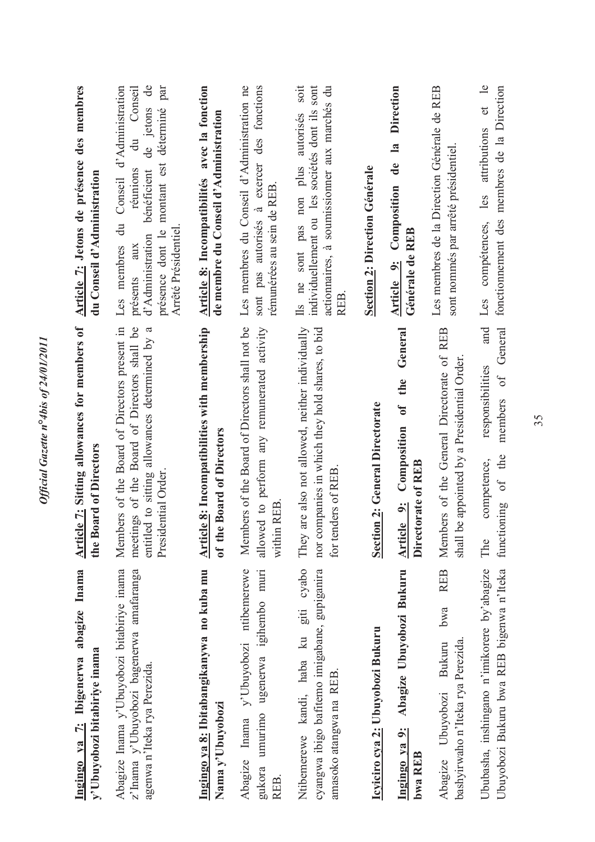| Ingingo ya 7: Ibigenerwa abagize Inama<br>y'Ubuyobozi bitabiriye inama                                                 | <b>Article 7:</b> Sitting allowances for members of<br>the Board of Directors                                                                                       | Article 7: Jetons de présence des membres<br>du Conseil d'Administration                                                                                                                                                 |
|------------------------------------------------------------------------------------------------------------------------|---------------------------------------------------------------------------------------------------------------------------------------------------------------------|--------------------------------------------------------------------------------------------------------------------------------------------------------------------------------------------------------------------------|
| Abagize Inama y'Ubuyobozi bitabiriye inama<br>z'Inama y'Ubuyobozi bagenerwa amafaranga<br>agenwa n'Iteka rya Perezida. | Members of the Board of Directors present in<br>meetings of the Board of Directors shall be<br>entitled to sitting allowances determined by a<br>Presidential Order | de jetons de<br>d'Administration<br>montant est déterminé par<br>Conseil<br>du<br>réunions<br>bénéficient<br>Conseil<br>du<br>présence dont le<br>Arrêté Présidentiel<br>d'Administration<br>présents aux<br>Les membres |
| Ingingo ya 8: Ibitabangikanywa no kuba mu<br>Nama y'Ubuyobozi                                                          | <b>Article 8:</b> Incompatibilities with membership<br>e Board of Directors<br>of the                                                                               | Article 8: Incompatibilités avec la fonction<br>de membre du Conseil d'Administration                                                                                                                                    |
| y'Ubuyobozi ntibemerewe<br>ugenerwa igihembo muri<br>gukora umurimo<br>Inama<br>Abagize<br>REB.                        | Members of the Board of Directors shall not be<br>allowed to perform any remunerated activity<br>within REB                                                         | Les membres du Conseil d'Administration ne<br>sont pas autorisés à exercer des fonctions<br>rémunérées au sein de REB                                                                                                    |
| cyabo<br>cyangwa ibigo bafitemo imigabane, gupiganira<br>Ntibemerewe kandi, haba ku giti<br>amasoko atangwa na REB.    | are also not allowed, neither individually<br>nor companies in which they hold shares, to bid<br>for tenders of REB<br>They                                         | soit<br>individuellement ou les sociétés dont ils sont<br>actionnaires, à soumissionner aux marchés du<br>sont pas non plus autorisés<br>Ils ne<br><b>REB</b>                                                            |
| Icyiciro cya 2: Ubuyobozi Bukuru                                                                                       | Section 2: General Directorate                                                                                                                                      | Section 2: Direction Générale                                                                                                                                                                                            |
| Abagize Ubuyobozi Bukuru<br>Ingingo ya 9:<br>bwa REEB                                                                  | General<br>of the<br><b>Article 9: Composition</b><br>Directorate of REB                                                                                            | Direction<br>$\mathbf{a}$<br>de<br><b>Article 9: Composition</b><br>Générale de REB                                                                                                                                      |
| <b>REB</b><br>bwa<br>bashyirwaho n'Iteka rya Perezida.<br><b>Bukuru</b><br>Ubuyobozi<br>Abagize                        | Members of the General Directorate of REB<br>be appointed by a Presidential Order.<br>shall                                                                         | Les membres de la Direction Générale de REB<br>sont nommés par arrêté présidentiel                                                                                                                                       |
| Ububasha, inshingano n'imikorere by'abagize<br>Ubuyobozi Bukuru bwa REB bigenwa n'Iteka                                | and<br>General<br>responsibilities<br>$\sigma$<br>members<br>of the<br>competence,<br>functioning<br>The                                                            | et le<br>fonctionnement des membres de la Direction<br>attributions<br>les<br>compétences,<br>Les                                                                                                                        |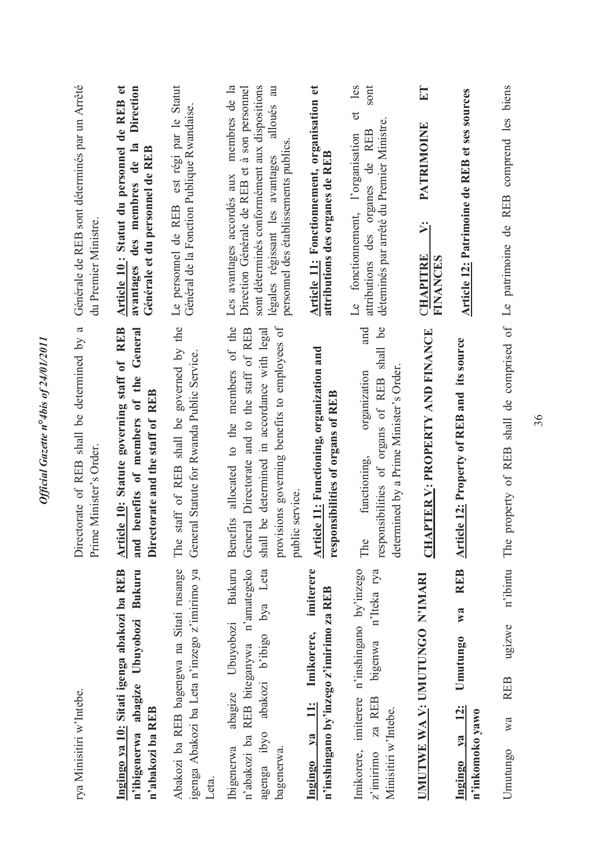| rya Minisitiri w'Intebe.                                                                                                                                    | $\boldsymbol{\beta}$<br>Directorate of REB shall be determined by<br>Prime Minister's Order                                                                                                                 | Générale de REB sont déterminés par un Arrêté<br>du Premier Ministre.                                                                                                                                                              |
|-------------------------------------------------------------------------------------------------------------------------------------------------------------|-------------------------------------------------------------------------------------------------------------------------------------------------------------------------------------------------------------|------------------------------------------------------------------------------------------------------------------------------------------------------------------------------------------------------------------------------------|
| Ingingo ya 10: Sitati igenga abakozi ba REB<br>Bukuru<br>Ubuyobozi<br>n'ibigenerwa abagize<br>n'abakozi ba REB                                              | Article 10: Statute governing staff of REB<br>General<br>benefits of members of the<br>Directorate and the staff of REB<br>and                                                                              | Article 10: Statut du personnel de REB et<br>Direction<br>avantages des membres de la<br>Générale et du personnel de REB                                                                                                           |
| Abakozi ba REB bagengwa na Sitati rusange<br>igenga Abakozi ba Leta n'inzego z'imirimo ya<br>Leta.                                                          | staff of REB shall be governed by the<br>General Statute for Rwanda Public Service.<br>The                                                                                                                  | est régi par le Statut<br>Général de la Fonction Publique Rwandaise<br>Le personnel de REB                                                                                                                                         |
| <b>Bukuru</b><br>n'abakozi ba REB biteganywa n'amategeko<br>abakozi b'ibigo bya Leta<br>abagize Ubuyobozi<br>agenga ibyo<br><b>Ibigenerwa</b><br>bagenerwa. | Benefits allocated to the members of the<br>provisions governing benefits to employees of<br>General Directorate and to the staff of REB<br>shall be determined in accordance with legal<br>public service. | Les avantages accordés aux membres de la<br>sont déterminés conformément aux dispositions<br>alloués au<br>Direction Générale de REB et à son personnel<br>personnel des établissements publics<br>légales régissant les avantages |
| imiterere<br>n'inshingano by'inzego z'imirimo za REB<br>Imikorere,<br>$\frac{1}{2}$<br>Ingingo ya                                                           | Article 11: Functioning, organization and<br>responsibilities of organs of REB                                                                                                                              | Article 11: Fonctionnement, organisation et<br>attributions des organes de REB                                                                                                                                                     |
| Imikorere, imiterere n'inshingano by inzego<br>n'Iteka rya<br>bigenwa<br>za REB<br>Minisitiri w'Intebe.<br>$z'$ imirimo                                     | responsibilities of organs of REB shall be<br>and<br>determined by a Prime Minister's Order.<br>organization<br>functioning,<br>The                                                                         | et les<br>sont<br>déteminés par arrêté du Premier Ministre.<br>attributions des organes de REB<br>Le fonctionnement, l'organisation                                                                                                |
| UMUTWE WA V: UMUTUNGO N'IMARI                                                                                                                               | CHAPTER V: PROPERTY AND FINANCE                                                                                                                                                                             | $E$ T<br>PATRIMOINE<br>$\dot{\bm{\varkappa}}$<br><b>CHAPITRE</b><br>FINANCES                                                                                                                                                       |
| <b>REB</b><br>W2<br><b>Umutungo</b><br>12:<br>n'inkomoko yawo<br>$1$<br>Ingingo                                                                             | <b>Article 12: Property of REB and its source</b>                                                                                                                                                           | Article 12: Patrimoine de REB et ses sources                                                                                                                                                                                       |
| n'ibintu<br>ugizwe<br><b>REB</b><br>wa<br>Umutungo                                                                                                          | The property of REB shall de comprised of Le patrimoine de REB comprend les biens                                                                                                                           |                                                                                                                                                                                                                                    |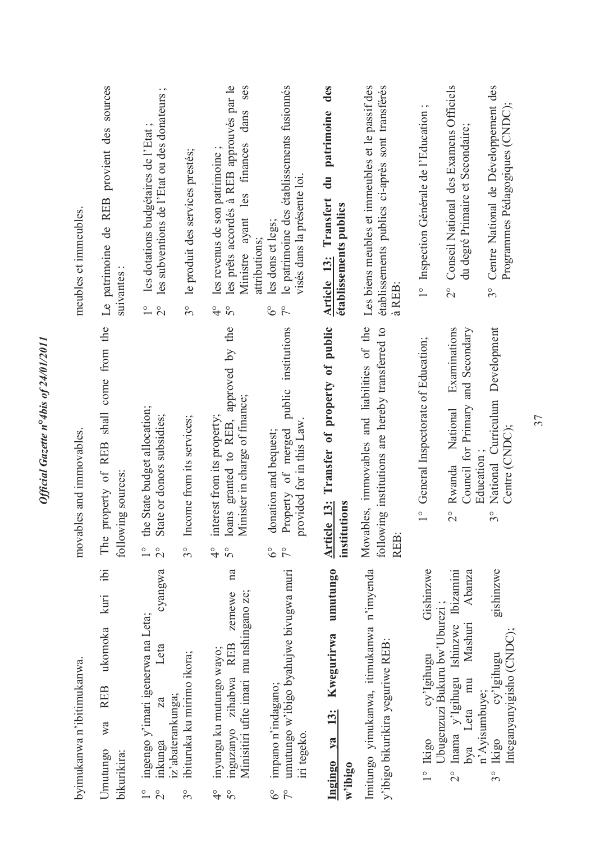| byimukanwa n'ibitimukanwa.                                                                                                                             | movables and immovables.                                                                                                                     | meubles et immeubles                                                                                                                                                   |
|--------------------------------------------------------------------------------------------------------------------------------------------------------|----------------------------------------------------------------------------------------------------------------------------------------------|------------------------------------------------------------------------------------------------------------------------------------------------------------------------|
| ibi<br>kuri<br>ukomoka<br><b>REB</b><br>Wa<br>Umutungo<br>bikurikira:                                                                                  | property of REB shall come from the<br>following sources:<br>The                                                                             | Le patrimoine de REB provient des sources<br>suivantes                                                                                                                 |
| cyangwa<br>ingengo y'imari igenerwa na Leta;<br>Leta<br>inkunga<br>$\overset{\circ}{\phantom{0}}$<br>$\overline{\mathcal{C}}$                          | the State budget allocation;<br>State or donors subsidies;<br>$\overline{\mathcal{C}}$<br>$\frac{0}{1}$                                      | $\cdot$ $\sim$<br>les subventions de l'Etat ou des donateurs<br>les dotations budgétaires de l'Etat<br>$\frac{1}{1}$<br>$\overline{C}$                                 |
| ibituruka ku mirimo ikora;<br>iz'abaterankunga;<br>$3^{\circ}$                                                                                         | Income from its services;<br>$3^{\circ}$                                                                                                     | le produit des services prestés;<br>$3^{\circ}$                                                                                                                        |
| na<br>Minisitiri ufite imari mu nshingano ze;<br>zemewe<br>inguzanyo zihabwa REB<br>inyungu ku mutungo wayo;<br>$\frac{6}{4}$<br>$\mathcal{S}^{\circ}$ | approved by the<br>Minister in charge of finance;<br>nterest from its property;<br>oans granted to REB,<br>5°<br>$\frac{9}{5}$               | les prêts accordés à REB approuvés par le<br>ses<br>dans<br>finances<br>les revenus de son patrimoine;<br>Ministre ayant les<br>$\frac{1}{4}$<br>$\mathcal{S}^{\circ}$ |
| umutungo w'ibigo byahujwe bivugwa muri<br>impano n'indagano;<br>in tegeko.<br>$\delta^{\circ}$<br>$\tilde{7}$                                          | institutions<br>public<br>provided for in this Law<br>Property of merged<br>donation and bequest;<br>$\delta^{\circ}$<br>$\tilde{7}^{\circ}$ | le patrimoine des établissements fusionnés<br>visés dans la présente loi<br>les dons et legs;<br>attributions;<br>$\delta^{\circ}$<br>$\zeta$                          |
| umutungo<br>Kwegurirwa<br><u>13:</u><br>Ingingo ya<br>$w$ 'ibigo                                                                                       | Article 13: Transfer of property of public<br>institutions                                                                                   | des<br>patrimoine<br>$\frac{1}{2}$<br>Article 13: Transfert<br>établissements publics                                                                                  |
| Imitungo yimukanwa, itimukanwa n'imyenda<br>y'ibigo bikurikira yeguriwe REB:                                                                           | Movables, immovables and liabilities of the<br>following institutions are hereby transferred to<br>REB:                                      | Les biens meubles et immeubles et le passif des<br>établissements publics ci-après sont transférés<br>à REB                                                            |
| Gishinzwe<br>cy'Igihugu<br><b>Ikigo</b><br>$\frac{1}{\sqrt{2}}$                                                                                        | General Inspectorate of Education;<br>$\frac{1}{1}$                                                                                          | 1° Inspection Générale de l'Education;                                                                                                                                 |
| Inama y'Igihugu Ishinzwe Ibizamini<br>Abanza<br>Ubugenzuzi Bukuru bw'Uburezi;<br>Mashuri<br>bya Leta mu<br>$\frac{1}{2}$                               | Examinations<br>and Secondary<br>Council for Primary<br>National<br>Rwanda<br>$\overset{\circ}{\Omega}$                                      | Conseil National des Examens Officiels<br>du degré Primaire et Secondaire;<br>$\frac{1}{2}$                                                                            |
| gishinzwe<br>Integanyanyigisho (CNDC);<br>cy'Igihugu<br>n'Ayisumbuye;<br>3° Ikigo                                                                      | National Curriculum Development<br>Centre (CNDC);<br>Education<br>$3^{\circ}$                                                                | Centre National de Développement des<br>Programmes Pédagogiques (CNDC);<br>$3^{\circ}$                                                                                 |
|                                                                                                                                                        |                                                                                                                                              |                                                                                                                                                                        |

Official Gazette n°4bis of 24/01/2011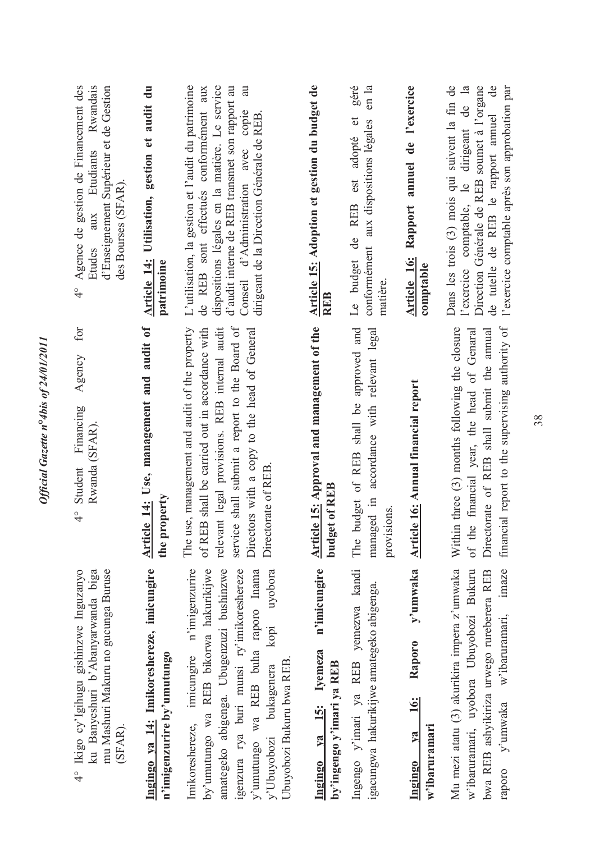| Etudiants Rwandais<br>Agence de gestion de Financement des<br>d'Enseignement Supérieur et de Gestion<br>des Bourses (SFAR).<br>aux<br>Etudes<br>$\frac{1}{4}$ | Article 14: Utilisation, gestion et audit du<br>patrimoine              | L'utilisation, la gestion et l'audit du patrimoine<br>au<br>de REB sont effectués conformément aux<br>dispositions légales en la matière. Le service<br>d'audit interne de REB transmet son rapport au<br>Conseil d'Administration avec copie<br>dirigeant de la Direction Générale de REB    | Article 15: Adoption et gestion du budget de<br><b>REB</b>          | géré<br>en la<br>Le budget de REB est adopté et<br>conformément aux dispositions légales<br>matière.      | Rapport annuel de l'exercice<br>Article 16:<br>comptable    | Dans les trois (3) mois qui suivent la fin de<br>Direction Générale de REB soumet à l'organe<br>l'exercice comptable, le dirigeant de la<br>$\frac{1}{\sqrt{2}}$<br>l'exercice comptable après son approbation par<br>de tutelle de REB le rapport annuel |
|---------------------------------------------------------------------------------------------------------------------------------------------------------------|-------------------------------------------------------------------------|-----------------------------------------------------------------------------------------------------------------------------------------------------------------------------------------------------------------------------------------------------------------------------------------------|---------------------------------------------------------------------|-----------------------------------------------------------------------------------------------------------|-------------------------------------------------------------|-----------------------------------------------------------------------------------------------------------------------------------------------------------------------------------------------------------------------------------------------------------|
| for<br>Agency<br>Financing<br>Rwanda (SFAR).<br>4° Student                                                                                                    | Article 14: Use, management and audit of<br>the property                | service shall submit a report to the Board of<br>The use, management and audit of the property<br>relevant legal provisions. REB internal audit<br>of REB shall be carried out in accordance with<br>Directors with a copy to the head of General<br>Directorate of REB                       | Article 15: Approval and management of the<br>budget of REB         | budget of REB shall be approved and<br>accordance with relevant legal<br>managed in<br>provisions.<br>The | y'umwaka Article 16: Annual financial report                | financial report to the supervising authority of<br>Within three (3) months following the closure<br>of the financial year, the head of Genaral<br>Directorate of REB shall submit the annual                                                             |
| 4° Ikigo cy'lgihugu gishinzwe Inguzanyo<br>ku Banyeshuri b'Abanyarwanda biga<br>mu Mashuri Makuru no gucunga Buruse<br>(SFAR).                                | Ingingo ya 14: Imikoreshereze, imicungire<br>n'imigenzurire by'umutungo | Imikoreshereze, imicungire n'imigenzurire<br>amategeko abigenga. Ubugenzuzi bushinzwe<br>igenzura rya buri munsi ry'imikoreshereze<br>by'umutungo wa REB bikorwa hakurikijwe<br>y'umutungo wa REB buha raporo Inama<br>uyobora<br>kopi<br>Ubuyobozi Bukuru bwa REB.<br>y'Ubuyobozi bukagenera | n'imicungire<br>Ingingo ya 15: Iyemeza<br>by'ingengo y'imari ya REB | Ingengo y'imari ya REB yemezwa kandi<br>igacungwa hakurikijwe amategeko abigenga.                         | Raporo<br><u>16:</u><br>$w$ 'ibaruramari<br>$va$<br>Ingingo | Mu mezi atatu (3) akurikira impera z'umwaka<br>w'ibaruramari, uyobora Ubuyobozi Bukuru<br>imaze<br>bwa REB ashyikiriza urwego rureberera REB<br>w'ibaruramari,<br>y'umwaka<br>raporo                                                                      |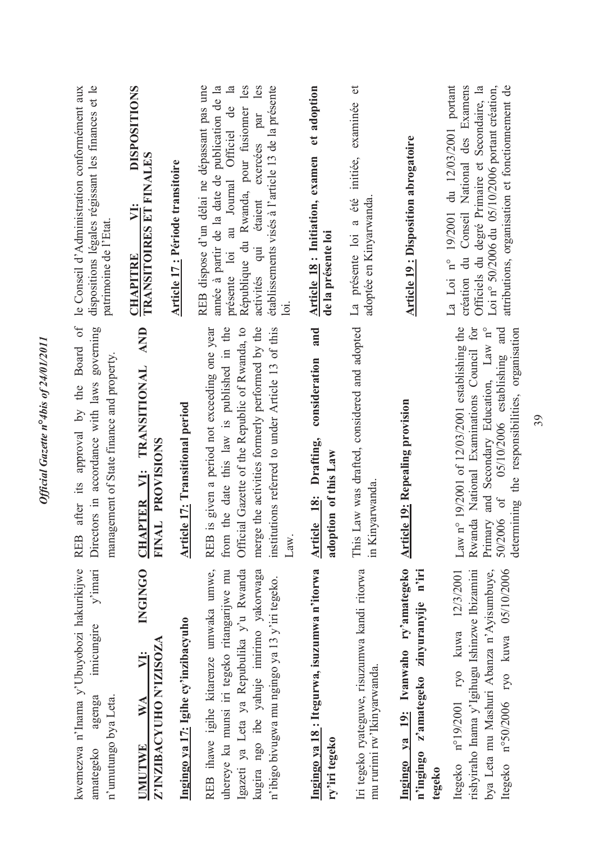| kwemezwa n'Inama y'Ubuyobozi hakurikijwe<br>$y'$ imari<br>imicungire<br>agenga<br>n'umutungo bya Leta.<br>amategeko                                                                                                           | after its approval by the Board of<br>Directors in accordance with laws governing<br>management of State finance and property.<br><b>REB</b>                                                                                                                                   | dispositions légales régissant les finances et le<br>le Conseil d'Administration conformément aux<br>patrimoine de l'Etat.                                                                                                                                                                                |
|-------------------------------------------------------------------------------------------------------------------------------------------------------------------------------------------------------------------------------|--------------------------------------------------------------------------------------------------------------------------------------------------------------------------------------------------------------------------------------------------------------------------------|-----------------------------------------------------------------------------------------------------------------------------------------------------------------------------------------------------------------------------------------------------------------------------------------------------------|
| <b>INGINGO</b><br>Z'INZIBACYUHO N'IZISOZA<br>VI:<br>WA<br>UMUTWE                                                                                                                                                              | AND<br>CHAPTER VI: TRANSITIONAL<br>FINAL PROVISIONS                                                                                                                                                                                                                            | <b>DISPOSITIONS</b><br><b>TRANSITOIRES ET FINALES</b><br>$\ddot{\phantom{1}}$<br><b>CHAPITRE</b>                                                                                                                                                                                                          |
| Ingingo ya 17: Igihe cy'inzibacyuho                                                                                                                                                                                           | <b>Article 17: Transitional period</b>                                                                                                                                                                                                                                         | <b>Article 17: Période transitoire</b>                                                                                                                                                                                                                                                                    |
| REB ihawe igihe kitarenze umwaka umwe,<br>Igazeti ya Leta ya Repubulika y'u Rwanda<br>uhereye ku munsi iri tegeko ritangarijwe mu<br>kugira ngo ibe yahuje imirimo yakorwaga<br>n'ibigo bivugwa mu ngingo ya 13 y'iri tegeko. | is given a period not exceeding one year<br>the date this law is published in the<br>Official Gazette of the Republic of Rwanda, to<br>merge the activities formerly performed by the<br>institutions referred to under Article 13 of this<br>REB <sub>i</sub><br>Law.<br>from | REB dispose d'un délai ne dépassant pas une<br>année à partir de la date de publication de la<br>présente loi au Journal Officiel de la<br>République du Rwanda, pour fusionner les<br>activités qui étaient exercées par les<br>établissements visés à l'article 13 de la présente<br>$\overline{\circ}$ |
| Ingingo ya 18: Itegurwa, isuzumwa n'itorwa<br>ry'iri tegeko                                                                                                                                                                   | and<br>consideration<br>Article 18: Drafting,<br>adoption of this Law                                                                                                                                                                                                          | et adoption<br><b>Article 18: Initiation, examen</b><br>de la présente loi                                                                                                                                                                                                                                |
| Iri tegeko ryateguwe, risuzumwa kandi ritorwa<br>mu rurimi rw'lkinyarwanda.                                                                                                                                                   | This Law was drafted, considered and adopted<br>in Kinyarwanda                                                                                                                                                                                                                 | examinée et<br>La présente loi a été initiée,<br>adoptée en Kinyarwanda                                                                                                                                                                                                                                   |
| Ingingo ya 19: Ivanwaho ry'amategeko<br>n'ingingo z'amategeko zinyuranyije n'iri<br>tegeko                                                                                                                                    | <b>Article 19: Repealing provision</b>                                                                                                                                                                                                                                         | <b>Article 19: Disposition abrogatoire</b>                                                                                                                                                                                                                                                                |
| Itegeko nº50/2006 ryo kuwa 05/10/2006<br>rishyiraho Inama y'Igihugu Ishinzwe Ibizamini<br>bya Leta mu Mashuri Abanza n'Ayisumbuye,<br>Itegeko nº19/2001 ryo kuwa 12/3/2001                                                    | Rwanda National Examinations Council for<br>Law n° 19/2001 of 12/03/2001 establishing the<br>Primary and Secondary Education, Law n°<br>05/10/2006 establishing and<br>determining the responsibilities, organisation<br>50/2006 of                                            | du 12/03/2001 portant<br>création du Conseil National des Examens<br>attributions, organisation et fonctionnement de<br>Officiels du degré Primaire et Secondaire, la<br>Loi nº 50/2006 du 05/10/2006 portant création,<br>La Loi nº 19/2001                                                              |